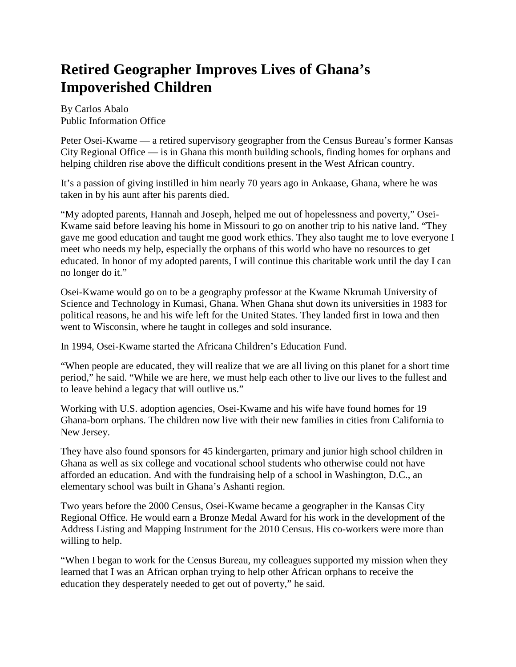## **Retired Geographer Improves Lives of Ghana's Impoverished Children**

By Carlos Abalo Public Information Office

Peter Osei-Kwame — a retired supervisory geographer from the Census Bureau's former Kansas City Regional Office — is in Ghana this month building schools, finding homes for orphans and helping children rise above the difficult conditions present in the West African country.

It's a passion of giving instilled in him nearly 70 years ago in Ankaase, Ghana, where he was taken in by his aunt after his parents died.

"My adopted parents, Hannah and Joseph, helped me out of hopelessness and poverty," Osei-Kwame said before leaving his home in Missouri to go on another trip to his native land. "They gave me good education and taught me good work ethics. They also taught me to love everyone I meet who needs my help, especially the orphans of this world who have no resources to get educated. In honor of my adopted parents, I will continue this charitable work until the day I can no longer do it."

Osei-Kwame would go on to be a geography professor at the Kwame Nkrumah University of Science and Technology in Kumasi, Ghana. When Ghana shut down its universities in 1983 for political reasons, he and his wife left for the United States. They landed first in Iowa and then went to Wisconsin, where he taught in colleges and sold insurance.

In 1994, Osei-Kwame started the Africana Children's Education Fund.

"When people are educated, they will realize that we are all living on this planet for a short time period," he said. "While we are here, we must help each other to live our lives to the fullest and to leave behind a legacy that will outlive us."

Working with U.S. adoption agencies, Osei-Kwame and his wife have found homes for 19 Ghana-born orphans. The children now live with their new families in cities from California to New Jersey.

They have also found sponsors for 45 kindergarten, primary and junior high school children in Ghana as well as six college and vocational school students who otherwise could not have afforded an education. And with the fundraising help of a school in Washington, D.C., an elementary school was built in Ghana's Ashanti region.

Two years before the 2000 Census, Osei-Kwame became a geographer in the Kansas City Regional Office. He would earn a Bronze Medal Award for his work in the development of the Address Listing and Mapping Instrument for the 2010 Census. His co-workers were more than willing to help.

"When I began to work for the Census Bureau, my colleagues supported my mission when they learned that I was an African orphan trying to help other African orphans to receive the education they desperately needed to get out of poverty," he said.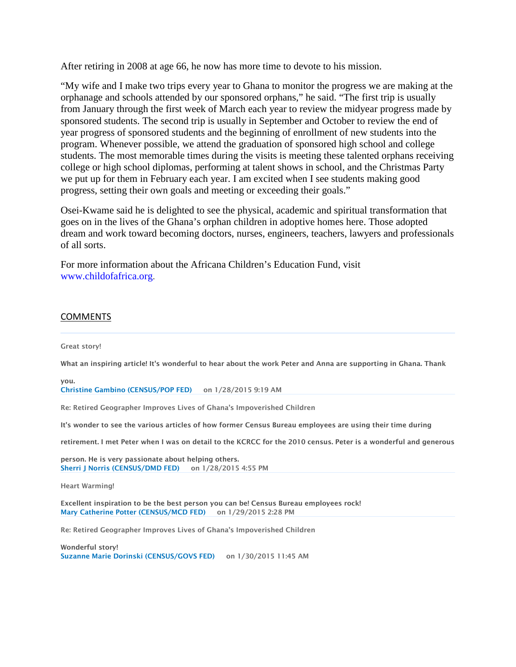After retiring in 2008 at age 66, he now has more time to devote to his mission.

"My wife and I make two trips every year to Ghana to monitor the progress we are making at the orphanage and schools attended by our sponsored orphans," he said. "The first trip is usually from January through the first week of March each year to review the midyear progress made by sponsored students. The second trip is usually in September and October to review the end of year progress of sponsored students and the beginning of enrollment of new students into the program. Whenever possible, we attend the graduation of sponsored high school and college students. The most memorable times during the visits is meeting these talented orphans receiving college or high school diplomas, performing at talent shows in school, and the Christmas Party we put up for them in February each year. I am excited when I see students making good progress, setting their own goals and meeting or exceeding their goals."

Osei-Kwame said he is delighted to see the physical, academic and spiritual transformation that goes on in the lives of the Ghana's orphan children in adoptive homes here. Those adopted dream and work toward becoming doctors, nurses, engineers, teachers, lawyers and professionals of all sorts.

For more information about the Africana Children's Education Fund, visit [www.childofafrica.org.](http://www.childofafrica.org/)

## COMMENTS

Great story!

What an inspiring article! It's wonderful to hear about the work Peter and Anna are supporting in Ghana. Thank

you. [Christine Gambino \(CENSUS/POP FED\)](mhtml:file://H:%5C1954%5CJoanna%20Stuff%5CCensus%20Article%20Peter%20Osei-Kwame.mht!https://intranet.ecm.census.gov/sites/counterparts/news/_layouts/userdisp.aspx?ID=1763) on 1/28/2015 9:19 AM

Re: Retired Geographer Improves Lives of Ghana's Impoverished Children

It's wonder to see the various articles of how former Census Bureau employees are using their time during

retirement. I met Peter when I was on detail to the KCRCC for the 2010 census. Peter is a wonderful and generous

person. He is very passionate about helping others. [Sherri J Norris \(CENSUS/DMD FED\)](mhtml:file://H:%5C1954%5CJoanna%20Stuff%5CCensus%20Article%20Peter%20Osei-Kwame.mht!https://intranet.ecm.census.gov/sites/counterparts/news/_layouts/userdisp.aspx?ID=3451) on 1/28/2015 4:55 PM

Heart Warming!

Excellent inspiration to be the best person you can be! Census Bureau employees rock! [Mary Catherine Potter \(CENSUS/MCD FED\)](mhtml:file://H:%5C1954%5CJoanna%20Stuff%5CCensus%20Article%20Peter%20Osei-Kwame.mht!https://intranet.ecm.census.gov/sites/counterparts/news/_layouts/userdisp.aspx?ID=1133) on 1/29/2015 2:28 PM

Re: Retired Geographer Improves Lives of Ghana's Impoverished Children

Wonderful story! [Suzanne Marie Dorinski \(CENSUS/GOVS FED\)](mhtml:file://H:%5C1954%5CJoanna%20Stuff%5CCensus%20Article%20Peter%20Osei-Kwame.mht!https://intranet.ecm.census.gov/sites/counterparts/news/_layouts/userdisp.aspx?ID=614) on 1/30/2015 11:45 AM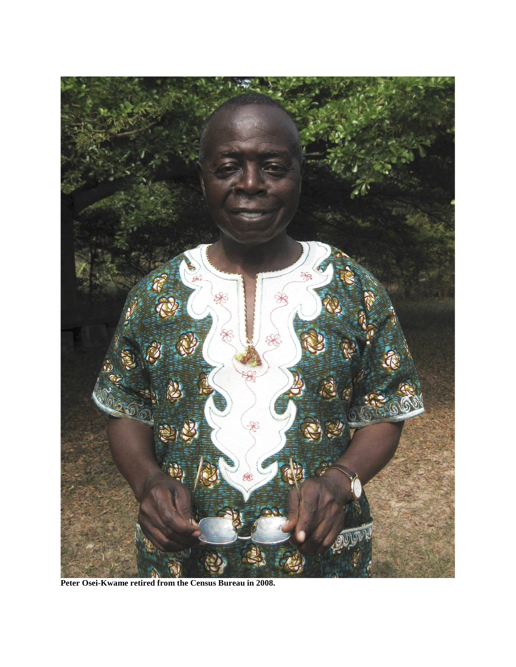

**Peter Osei-Kwame retired from the Census Bureau in 2008.**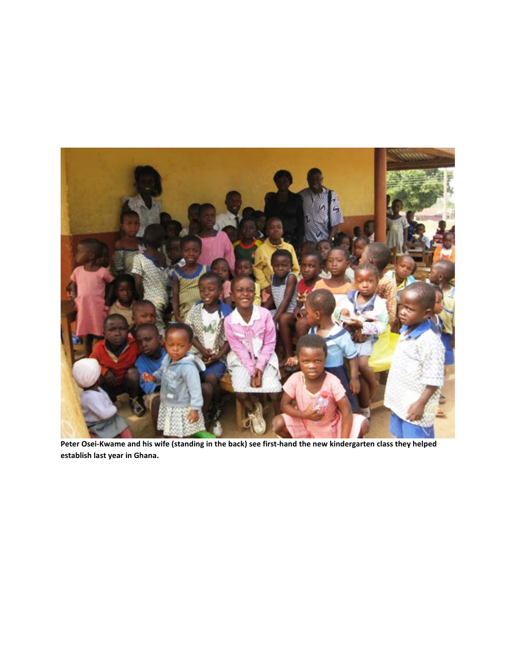

**Peter Osei-Kwame and his wife (standing in the back) see first-hand the new kindergarten class they helped establish last year in Ghana.**